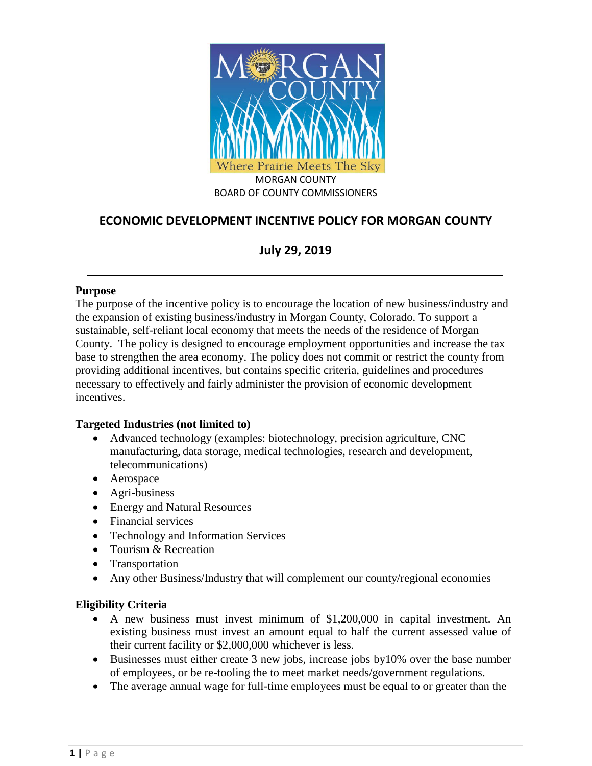

# **ECONOMIC DEVELOPMENT INCENTIVE POLICY FOR MORGAN COUNTY**

# **July 29, 2019**

#### **Purpose**

The purpose of the incentive policy is to encourage the location of new business/industry and the expansion of existing business/industry in Morgan County, Colorado. To support a sustainable, self-reliant local economy that meets the needs of the residence of Morgan County. The policy is designed to encourage employment opportunities and increase the tax base to strengthen the area economy. The policy does not commit or restrict the county from providing additional incentives, but contains specific criteria, guidelines and procedures necessary to effectively and fairly administer the provision of economic development incentives.

## **Targeted Industries (not limited to)**

- Advanced technology (examples: biotechnology, precision agriculture, CNC manufacturing, data storage, medical technologies, research and development, telecommunications)
- Aerospace
- Agri-business
- Energy and Natural Resources
- Financial services
- Technology and Information Services
- Tourism & Recreation
- **Transportation**
- Any other Business/Industry that will complement our county/regional economies

## **Eligibility Criteria**

- A new business must invest minimum of \$1,200,000 in capital investment. An existing business must invest an amount equal to half the current assessed value of their current facility or \$2,000,000 whichever is less.
- Businesses must either create 3 new jobs, increase jobs by10% over the base number of employees, or be re-tooling the to meet market needs/government regulations.
- The average annual wage for full-time employees must be equal to or greater than the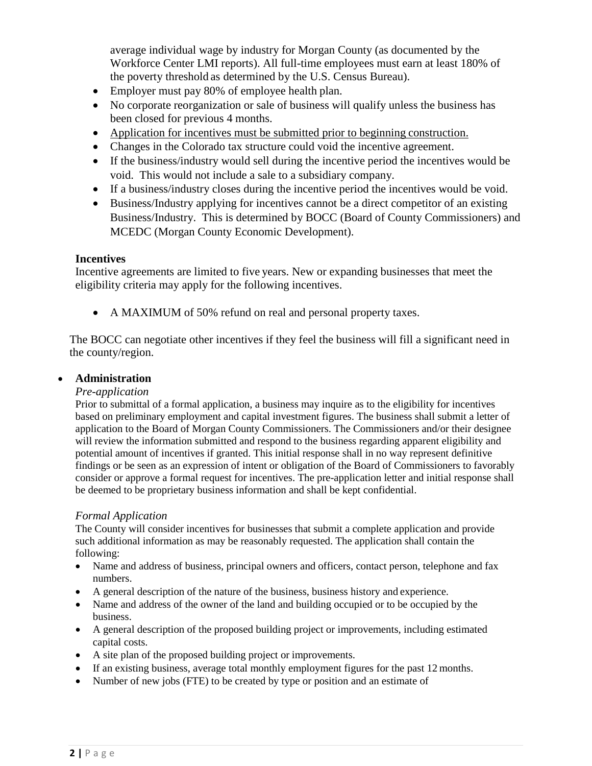average individual wage by industry for Morgan County (as documented by the Workforce Center LMI reports). All full-time employees must earn at least 180% of the poverty threshold as determined by the U.S. Census Bureau).

- Employer must pay 80% of employee health plan.
- No corporate reorganization or sale of business will qualify unless the business has been closed for previous 4 months.
- Application for incentives must be submitted prior to beginning construction.
- Changes in the Colorado tax structure could void the incentive agreement.
- If the business/industry would sell during the incentive period the incentives would be void. This would not include a sale to a subsidiary company.
- If a business/industry closes during the incentive period the incentives would be void.
- Business/Industry applying for incentives cannot be a direct competitor of an existing Business/Industry. This is determined by BOCC (Board of County Commissioners) and MCEDC (Morgan County Economic Development).

#### **Incentives**

Incentive agreements are limited to five years. New or expanding businesses that meet the eligibility criteria may apply for the following incentives.

• A MAXIMUM of 50% refund on real and personal property taxes.

The BOCC can negotiate other incentives if they feel the business will fill a significant need in the county/region.

## • **Administration**

## *Pre-application*

Prior to submittal of a formal application, a business may inquire as to the eligibility for incentives based on preliminary employment and capital investment figures. The business shall submit a letter of application to the Board of Morgan County Commissioners. The Commissioners and/or their designee will review the information submitted and respond to the business regarding apparent eligibility and potential amount of incentives if granted. This initial response shall in no way represent definitive findings or be seen as an expression of intent or obligation of the Board of Commissioners to favorably consider or approve a formal request for incentives. The pre-application letter and initial response shall be deemed to be proprietary business information and shall be kept confidential.

## *Formal Application*

The County will consider incentives for businesses that submit a complete application and provide such additional information as may be reasonably requested. The application shall contain the following:

- Name and address of business, principal owners and officers, contact person, telephone and fax numbers.
- A general description of the nature of the business, business history and experience.
- Name and address of the owner of the land and building occupied or to be occupied by the business.
- A general description of the proposed building project or improvements, including estimated capital costs.
- A site plan of the proposed building project or improvements.
- If an existing business, average total monthly employment figures for the past 12 months.
- Number of new jobs (FTE) to be created by type or position and an estimate of